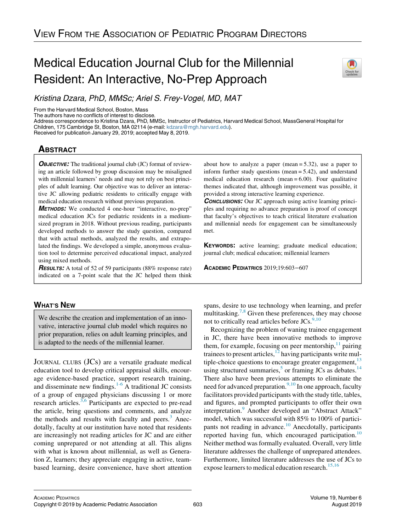# Medical Education Journal Club for the Millennial Resident: An Interactive, No-Prep Approach



From the Harvard Medical School, Boston, Mass

The authors have no conflicts of interest to disclose.

Address correspondence to Kristina Dzara, PhD, MMSc, Instructor of Pediatrics, Harvard Medical School, MassGeneral Hospital for Children, 175 Cambridge St, Boston, MA 02114 (e-mail: [kdzara@mgh.harvard.edu](mailto:kdzara@mgh.harvard.edu)).

Received for publication January 29, 2019; accepted May 8, 2019.

# **ABSTRACT**

**OBJECTIVE:** The traditional journal club (JC) format of reviewing an article followed by group discussion may be misaligned with millennial learners' needs and may not rely on best principles of adult learning. Our objective was to deliver an interactive JC allowing pediatric residents to critically engage with medical education research without previous preparation.

METHODS: We conducted 4 one-hour "interactive, no-prep" medical education JCs for pediatric residents in a mediumsized program in 2018. Without previous reading, participants developed methods to answer the study question, compared that with actual methods, analyzed the results, and extrapolated the findings. We developed a simple, anonymous evaluation tool to determine perceived educational impact, analyzed using mixed methods.

**RESULTS:** A total of 52 of 59 participants (88% response rate) indicated on a 7-point scale that the JC helped them think

# WHAT'S NEW

We describe the creation and implementation of an innovative, interactive journal club model which requires no prior preparation, relies on adult learning principles, and is adapted to the needs of the millennial learner.

JOURNAL CLUBS (JCs) are a versatile graduate medical education tool to develop critical appraisal skills, encourage evidence-based practice, support research training, and disseminate new findings. $1-6$  A traditional JC consists of a group of engaged physicians discussing 1 or more research articles.<sup>[3,6](#page-4-1)</sup> Participants are expected to pre-read the article, bring questions and comments, and analyze the methods and results with faculty and peers. $3$  Anecdotally, faculty at our institution have noted that residents are increasingly not reading articles for JC and are either coming unprepared or not attending at all. This aligns with what is known about millennial, as well as Generation Z, learners; they appreciate engaging in active, teambased learning, desire convenience, have short attention about how to analyze a paper (mean  $= 5.32$ ), use a paper to inform further study questions (mean = 5.42), and understand medical education research (mean  $= 6.00$ ). Four qualitative themes indicated that, although improvement was possible, it provided a strong interactive learning experience.

**CONCLUSIONS:** Our JC approach using active learning principles and requiring no advance preparation is proof of concept that faculty's objectives to teach critical literature evaluation and millennial needs for engagement can be simultaneously met.

KEYWORDS: active learning; graduate medical education; journal club; medical education; millennial learners

ACADEMIC PEDIATRICS 2019;19:603−607

spans, desire to use technology when learning, and prefer multitasking.<sup>[7,8](#page-4-2)</sup> Given these preferences, they may choose not to critically read articles before JCs.<sup>[9,10](#page-4-3)</sup>

Recognizing the problem of waning trainee engagement in JC, there have been innovative methods to improve them, for example, focusing on peer mentorship, $\frac{11}{11}$  $\frac{11}{11}$  $\frac{11}{11}$  pairing trainees to present articles, $12$  having participants write multiple-choice questions to encourage greater engagement,  $13$ using structured summaries,<sup>[5](#page-4-7)</sup> or framing JCs as debates.<sup>[14](#page-4-8)</sup> There also have been previous attempts to eliminate the need for advanced preparation. $9,10$  In one approach, faculty facilitators provided participants with the study title, tables, and figures, and prompted participants to offer their own interpretation.<sup>[9](#page-4-3)</sup> Another developed an "Abstract Attack" model, which was successful with 85% to 100% of partici-pants not reading in advance.<sup>[10](#page-4-9)</sup> Anecdotally, participants reported having fun, which encouraged participation.<sup>[10](#page-4-9)</sup> Neither method was formally evaluated. Overall, very little literature addresses the challenge of unprepared attendees. Furthermore, limited literature addresses the use of JCs to expose learners to medical education research.<sup>[15,16](#page-4-10)</sup>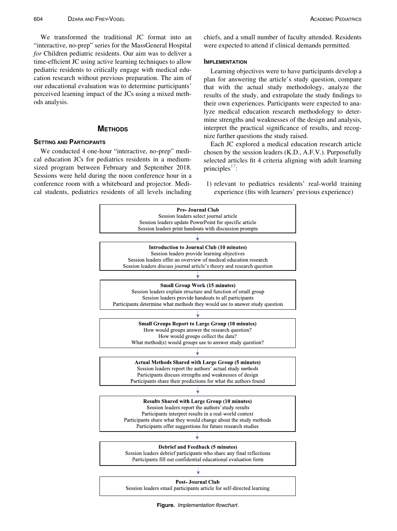We transformed the traditional JC format into an "interactive, no-prep" series for the MassGeneral Hospital for Children pediatric residents. Our aim was to deliver a time-efficient JC using active learning techniques to allow pediatric residents to critically engage with medical education research without previous preparation. The aim of our educational evaluation was to determine participants' perceived learning impact of the JCs using a mixed methods analysis.

# **METHODS**

# **SETTING AND PARTICIPANTS**

<span id="page-1-0"></span>We conducted 4 one-hour "interactive, no-prep" medical education JCs for pediatrics residents in a mediumsized program between February and September 2018. Sessions were held during the noon conference hour in a conference room with a whiteboard and projector. Medical students, pediatrics residents of all levels including chiefs, and a small number of faculty attended. Residents were expected to attend if clinical demands permitted.

# **IMPLEMENTATION**

Learning objectives were to have participants develop a plan for answering the article's study question, compare that with the actual study methodology, analyze the results of the study, and extrapolate the study findings to their own experiences. Participants were expected to analyze medical education research methodology to determine strengths and weaknesses of the design and analysis, interpret the practical significance of results, and recognize further questions the study raised.

Each JC explored a medical education research article chosen by the session leaders (K.D., A.F.V.). Purposefully selected articles fit 4 criteria aligning with adult learning principles<sup> $1$ </sup>:

1) relevant to pediatrics residents' real-world training experience (fits with learners' previous experience)



Figure. Implementation flowchart.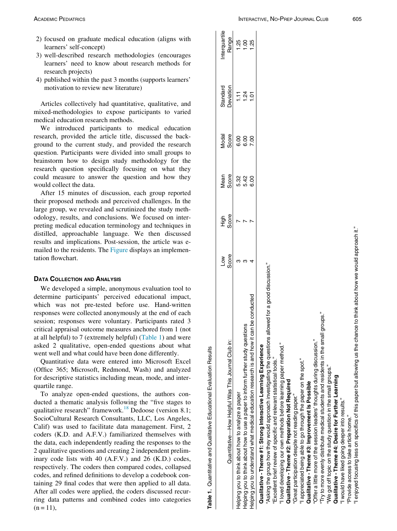- <span id="page-2-0"></span>2) focused on graduate medical education (aligns with learners' self-concept)
- 3) well-described research methodologies (encourages learners' need to know about research methods for research projects)
- 4) published within the past 3 months (supports learners' motivation to review new literature)

Articles collectively had quantitative, qualitative, and mixed-methodologies to expose participants to varied medical education research methods.

We introduced participants to medical education research, provided the article title, discussed the background to the current study, and provided the research question. Participants were divided into small groups to brainstorm how to design study methodology for the research question specifically focusing on what they could measure to answer the question and how they would collect the data.

After 15 minutes of discussion, each group reported their proposed methods and perceived challenges. In the large group, we revealed and scrutinized the study methodology, results, and conclusions. We focused on interpreting medical education terminology and techniques in distilled, approachable language. We then discussed results and implications. Post-session, the article was e-mailed to the residents. The [Figure](#page-1-0) displays an implementation flowchart.

# DATA COLLECTION AND ANALYSIS

We developed a simple, anonymous evaluation tool to determine participants' perceived educational impact, which was not pre-tested before use. Hand-written responses were collected anonymously at the end of each session; responses were voluntary. Participants rated 3 critical appraisal outcome measures anchored from 1 (not at all helpful) to 7 (extremely helpful) [\(Table 1\)](#page-2-0) and were asked 2 qualitative, open-ended questions about what went well and what could have been done differently.

Quantitative data were entered into Microsoft Excel (Office 365; Microsoft, Redmond, Wash) and analyzed for descriptive statistics including mean, mode, and interquartile range.

To analyze open-ended questions, the authors conducted a thematic analysis following the "five stages to qualitative research" framework.<sup>[18](#page-4-12)</sup> Dedoose (version 8.1; SocioCultural Research Consultants, LLC, Los Angeles, Calif) was used to facilitate data management. First, 2 coders (K.D. and A.F.V.) familiarized themselves with the data, each independently reading the responses to the 2 qualitative questions and creating 2 independent preliminary code lists with 40 (A.F.V.) and 26 (K.D.) codes, respectively. The coders then compared codes, collapsed codes, and refined definitions to develop a codebook containing 29 final codes that were then applied to all data. After all codes were applied, the coders discussed recurring data patterns and combined codes into categories  $(n = 11)$ ,

Table 1. Quantitative and Qualitative Educational Evaluation Results Table 1. Quantitative and Qualitative Educational Evaluation Results

|                                                                                                                          | Low   | High  | Mean         | Modal | Standard       | nterquartile |
|--------------------------------------------------------------------------------------------------------------------------|-------|-------|--------------|-------|----------------|--------------|
| Quantitative—How Helpful Was This Journal Club in:                                                                       | Score | Score | Score        | Score | Deviation      | Range        |
| Helping you to think about how to analyze a paper                                                                        |       |       | 5.32         | 6.00  | Ξ              | 1.25         |
| Helping you to think about how to use a paper to inform further study questions                                          |       |       |              | 6.00  | 1.24           |              |
| Helping you to understand what medical education research is and how it can be conducted                                 |       |       | 5.42<br>6.00 | 7.00  | $\overline{5}$ | 1.25         |
| Qualitative - Theme #1: Strong Interactive Learning Experience                                                           |       |       |              |       |                |              |
| "Asking the group how they would approach investigating the questions allowed for a good discussion."                    |       |       |              |       |                |              |
| "Excellent brief review of specific and relevant statistical tools.                                                      |       |       |              |       |                |              |
| "I loved developing our own methods before learning paper method."                                                       |       |       |              |       |                |              |
| Qualitative - Theme #2: Preparation Not Required                                                                         |       |       |              |       |                |              |
| "Great participation despite not reading paper."                                                                         |       |       |              |       |                |              |
| "I appreciated being able to go through the paper on the spot."                                                          |       |       |              |       |                |              |
| Qualitative - Theme #3: Improvement Is Possible                                                                          |       |       |              |       |                |              |
| "Offer a little more of the session leaders' thoughts during discussion."                                                |       |       |              |       |                |              |
| "Try to more evenly distribute medical students and residents in the small groups."                                      |       |       |              |       |                |              |
| 'We got off topic on the study question in the small groups."                                                            |       |       |              |       |                |              |
| Qualitative - Theme #4: Desire for Further Learning                                                                      |       |       |              |       |                |              |
| "I would have liked going deeper into results."                                                                          |       |       |              |       |                |              |
| "Provide access to take article home."                                                                                   |       |       |              |       |                |              |
| "I enjoyed focusing less on specifics of this paper but allowing us the chance to think about how we would approach it." |       |       |              |       |                |              |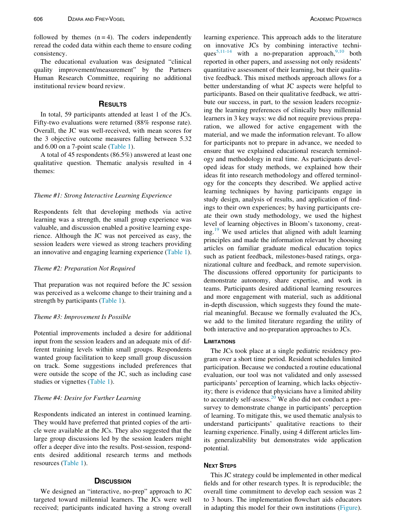followed by themes  $(n = 4)$ . The coders independently reread the coded data within each theme to ensure coding consistency.

The educational evaluation was designated "clinical quality improvement/measurement" by the Partners Human Research Committee, requiring no additional institutional review board review.

#### **RESULTS**

In total, 59 participants attended at least 1 of the JCs. Fifty-two evaluations were returned (88% response rate). Overall, the JC was well-received, with mean scores for the 3 objective outcome measures falling between 5.32 and 6.00 on a 7-point scale ([Table 1](#page-2-0)).

A total of 45 respondents (86.5%) answered at least one qualitative question. Thematic analysis resulted in 4 themes:

# Theme #1: Strong Interactive Learning Experience

Respondents felt that developing methods via active learning was a strength, the small group experience was valuable, and discussion enabled a positive learning experience. Although the JC was not perceived as easy, the session leaders were viewed as strong teachers providing an innovative and engaging learning experience [\(Table 1\)](#page-2-0).

#### Theme #2: Preparation Not Required

That preparation was not required before the JC session was perceived as a welcome change to their training and a strength by participants [\(Table 1\)](#page-2-0).

#### Theme #3: Improvement Is Possible

Potential improvements included a desire for additional input from the session leaders and an adequate mix of different training levels within small groups. Respondents wanted group facilitation to keep small group discussion on track. Some suggestions included preferences that were outside the scope of the JC, such as including case studies or vignettes ([Table 1\)](#page-2-0).

# Theme #4: Desire for Further Learning

Respondents indicated an interest in continued learning. They would have preferred that printed copies of the article were available at the JCs. They also suggested that the large group discussions led by the session leaders might offer a deeper dive into the results. Post-session, respondents desired additional research terms and methods resources [\(Table 1\)](#page-2-0).

#### **D**ISCUSSION

We designed an "interactive, no-prep" approach to JC targeted toward millennial learners. The JCs were well received; participants indicated having a strong overall learning experience. This approach adds to the literature on innovative JCs by combining interactive techni-ques<sup>[5,11-14](#page-4-7)</sup> with a no-preparation approach,  $9,10$  both reported in other papers, and assessing not only residents' quantitative assessment of their learning, but their qualitative feedback. This mixed methods approach allows for a better understanding of what JC aspects were helpful to participants. Based on their qualitative feedback, we attribute our success, in part, to the session leaders recognizing the learning preferences of clinically busy millennial learners in 3 key ways: we did not require previous preparation, we allowed for active engagement with the material, and we made the information relevant. To allow for participants not to prepare in advance, we needed to ensure that we explained educational research terminology and methodology in real time. As participants developed ideas for study methods, we explained how their ideas fit into research methodology and offered terminology for the concepts they described. We applied active learning techniques by having participants engage in study design, analysis of results, and application of findings to their own experiences; by having participants create their own study methodology, we used the highest level of learning objectives in Bloom's taxonomy, creat-ing.<sup>[19](#page-4-13)</sup> We used articles that aligned with adult learning principles and made the information relevant by choosing articles on familiar graduate medical education topics such as patient feedback, milestones-based ratings, organizational culture and feedback, and remote supervision. The discussions offered opportunity for participants to demonstrate autonomy, share expertise, and work in teams. Participants desired additional learning resources and more engagement with material, such as additional in-depth discussion, which suggests they found the material meaningful. Because we formally evaluated the JCs, we add to the limited literature regarding the utility of both interactive and no-preparation approaches to JCs.

#### **LIMITATIONS**

The JCs took place at a single pediatric residency program over a short time period. Resident schedules limited participation. Because we conducted a routine educational evaluation, our tool was not validated and only assessed participants' perception of learning, which lacks objectivity; there is evidence that physicians have a limited ability to accurately self-assess.<sup>[20](#page-4-14)</sup> We also did not conduct a presurvey to demonstrate change in participants' perception of learning. To mitigate this, we used thematic analysis to understand participants' qualitative reactions to their learning experience. Finally, using 4 different articles limits generalizability but demonstrates wide application potential.

# **NEXT STEPS**

This JC strategy could be implemented in other medical fields and for other research types. It is reproducible; the overall time commitment to develop each session was 2 to 3 hours. The implementation flowchart aids educators in adapting this model for their own institutions [\(Figure](#page-1-0)).